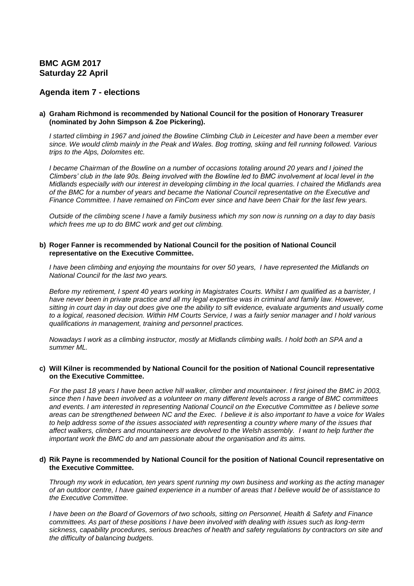# **BMC AGM 2017 Saturday 22 April**

# **Agenda item 7 - elections**

#### **a) Graham Richmond is recommended by National Council for the position of Honorary Treasurer (nominated by John Simpson & Zoe Pickering).**

*I started climbing in 1967 and joined the Bowline Climbing Club in Leicester and have been a member ever since. We would climb mainly in the Peak and Wales. Bog trotting, skiing and fell running followed. Various trips to the Alps, Dolomites etc.*

*I became Chairman of the Bowline on a number of occasions totaling around 20 years and I joined the Climbers' club in the late 90s. Being involved with the Bowline led to BMC involvement at local level in the Midlands especially with our interest in developing climbing in the local quarries. I chaired the Midlands area of the BMC for a number of years and became the National Council representative on the Executive and Finance Committee. I have remained on FinCom ever since and have been Chair for the last few years.*

*Outside of the climbing scene I have a family business which my son now is running on a day to day basis which frees me up to do BMC work and get out climbing.*

#### **b) Roger Fanner is recommended by National Council for the position of National Council representative on the Executive Committee.**

*I have been climbing and enjoying the mountains for over 50 years, I have represented the Midlands on National Council for the last two years.* 

*Before my retirement, I spent 40 years working in Magistrates Courts. Whilst I am qualified as a barrister, I have never been in private practice and all my legal expertise was in criminal and family law. However, sitting in court day in day out does give one the ability to sift evidence, evaluate arguments and usually come to a logical, reasoned decision. Within HM Courts Service, I was a fairly senior manager and I hold various qualifications in management, training and personnel practices.*

*Nowadays I work as a climbing instructor, mostly at Midlands climbing walls. I hold both an SPA and a summer ML.*

#### **c) Will Kilner is recommended by National Council for the position of National Council representative on the Executive Committee.**

*For the past 18 years I have been active hill walker, climber and mountaineer. I first joined the BMC in 2003, since then I have been involved as a volunteer on many different levels across a range of BMC committees and events. I am interested in representing National Council on the Executive Committee as I believe some areas can be strengthened between NC and the Exec. I believe it is also important to have a voice for Wales*  to help address some of the issues associated with representing a country where many of the issues that *affect walkers, climbers and mountaineers are devolved to the Welsh assembly. I want to help further the important work the BMC do and am passionate about the organisation and its aims.* 

#### **d) Rik Payne is recommended by National Council for the position of National Council representative on the Executive Committee.**

*Through my work in education, ten years spent running my own business and working as the acting manager of an outdoor centre, I have gained experience in a number of areas that I believe would be of assistance to the Executive Committee.* 

*I have been on the Board of Governors of two schools, sitting on Personnel, Health & Safety and Finance committees. As part of these positions I have been involved with dealing with issues such as long-term sickness, capability procedures, serious breaches of health and safety regulations by contractors on site and the difficulty of balancing budgets.*